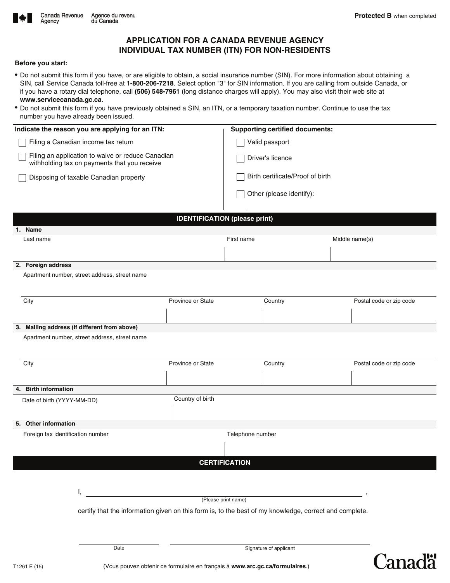Canadä



# **APPLICATION FOR A CANADA REVENUE AGENCY INDIVIDUAL TAX NUMBER (ITN) FOR NON-RESIDENTS**

## **Before you start:**

- Do not submit this form if you have, or are eligible to obtain, a social insurance number (SIN). For more information about obtaining a SIN, call Service Canada toll-free at **1-800-206-7218**. Select option "3" for SIN information. If you are calling from outside Canada, or if you have a rotary dial telephone, call **(506) 548-7961** (long distance charges will apply). You may also visit their web site at **www.servicecanada.gc.ca**.
- Do not submit this form if you have previously obtained a SIN, an ITN, or a temporary taxation number. Continue to use the tax number you have already been issued.

| Indicate the reason you are applying for an ITN:                                                  | <b>Supporting certified documents:</b> |  |  |
|---------------------------------------------------------------------------------------------------|----------------------------------------|--|--|
| Filing a Canadian income tax return                                                               | Valid passport                         |  |  |
| Filing an application to waive or reduce Canadian<br>withholding tax on payments that you receive | Driver's licence                       |  |  |
| Disposing of taxable Canadian property                                                            | Birth certificate/Proof of birth       |  |  |
|                                                                                                   | Other (please identify):               |  |  |
|                                                                                                   |                                        |  |  |

| <b>IDENTIFICATION (please print)</b>                                                                   |                   |                  |                |                         |  |  |
|--------------------------------------------------------------------------------------------------------|-------------------|------------------|----------------|-------------------------|--|--|
| 1. Name                                                                                                |                   |                  |                |                         |  |  |
| Last name                                                                                              | First name        |                  | Middle name(s) |                         |  |  |
|                                                                                                        |                   |                  |                |                         |  |  |
|                                                                                                        |                   |                  |                |                         |  |  |
| 2. Foreign address                                                                                     |                   |                  |                |                         |  |  |
| Apartment number, street address, street name                                                          |                   |                  |                |                         |  |  |
|                                                                                                        |                   |                  |                |                         |  |  |
| City                                                                                                   | Province or State |                  | Country        | Postal code or zip code |  |  |
|                                                                                                        |                   |                  |                |                         |  |  |
|                                                                                                        |                   |                  |                |                         |  |  |
| 3. Mailing address (if different from above)                                                           |                   |                  |                |                         |  |  |
| Apartment number, street address, street name                                                          |                   |                  |                |                         |  |  |
|                                                                                                        |                   |                  |                |                         |  |  |
| City                                                                                                   | Province or State |                  |                |                         |  |  |
|                                                                                                        |                   |                  | Country        | Postal code or zip code |  |  |
|                                                                                                        |                   |                  |                |                         |  |  |
| 4. Birth information                                                                                   |                   |                  |                |                         |  |  |
| Date of birth (YYYY-MM-DD)                                                                             | Country of birth  |                  |                |                         |  |  |
|                                                                                                        |                   |                  |                |                         |  |  |
| 5. Other information                                                                                   |                   |                  |                |                         |  |  |
|                                                                                                        |                   |                  |                |                         |  |  |
| Foreign tax identification number                                                                      |                   | Telephone number |                |                         |  |  |
|                                                                                                        |                   |                  |                |                         |  |  |
|                                                                                                        |                   |                  |                |                         |  |  |
| <b>CERTIFICATION</b>                                                                                   |                   |                  |                |                         |  |  |
|                                                                                                        |                   |                  |                |                         |  |  |
| ı.                                                                                                     |                   |                  |                |                         |  |  |
| (Please print name)                                                                                    |                   |                  |                |                         |  |  |
| certify that the information given on this form is, to the best of my knowledge, correct and complete. |                   |                  |                |                         |  |  |